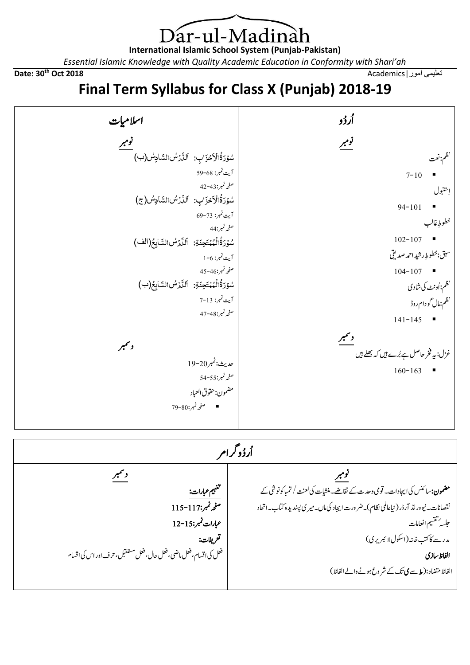) ar-ul-Madinah 

**International Islamic School System (Punjab-Pakistan)**

*Essential Islamic Knowledge with Quality Academic Education in Conformity with Shari'ah*

**Date: 30th Oct 2018** Academics|امور تعلیمی

## **Final Term Syllabus for Class X (Punjab) 2018-19**

| اسلاميات                                                                                                                                                                                                                                                                                                                                                     | أرۇو                                                                                                                                                                                                                              |
|--------------------------------------------------------------------------------------------------------------------------------------------------------------------------------------------------------------------------------------------------------------------------------------------------------------------------------------------------------------|-----------------------------------------------------------------------------------------------------------------------------------------------------------------------------------------------------------------------------------|
| نومبر<br>سُوۡرَةُالۡاَحۡزَابِ: اَلَنَّارُسُ السَّادِسُ (ب)<br>آيت نمبر: 68-59<br>صفحه نمبر:43-42<br>سُوۡرَةُالۡأَحۡزَابِ: اَلَنَّارُسُالسَّادِسُ (ج)<br>آيت نمبر: 73-69<br>صفحه نمبر:44<br>سُوۡرَةُالۡمُمۡتَحِنَةِ: اَلَنَّارُسُالسَّابِعُ(الف)<br>آيت نمبر: 6-1<br>صفحه نمبر:46-45<br>سُوۡرَةُالۡمُمۡتَحِنَةِ: اَلَلَّارُسُ السَّابِعُ(ب)<br>آيت نمبر: 13-7 | نومبر<br>نظم:نعت<br>$7 - 10$<br>$\blacksquare$<br>إتتنبول<br>$94 - 101$<br>$\blacksquare$<br>خطوطٍ غالب<br>$102 - 107$<br>$\blacksquare$<br>سبق:خطوطِ رشيد احم <i>د صد</i> يقي<br>$104 - 107$ $\blacksquare$<br>نظم:اُونٹ کی شادی |
| صفحه نمبر:48-47<br>دلتمبر<br>عديث:نمبر20-19<br>صفحه نمبر:55-54<br>مضمون:حقوق العباد<br>■ صفحه نمبر:80-79<br>أردُوگرام                                                                                                                                                                                                                                        | نظم:مال گو دام روڈ<br>$141 - 145$<br>د سمبر<br>غزل: بیہ فخر حاصل ہے بُرے ہیں کہ بیھلے ہیں<br>■ صحیحت میں میں میں میں میں کی بیٹ ہیں<br>$160 - 163$                                                                                |
| دلتمبر                                                                                                                                                                                                                                                                                                                                                       | <u>نومبر</u>                                                                                                                                                                                                                      |

| <b>مضمون:</b> سائنس کی ایجادات۔ قومی وحدت کے نقاضے۔منشیات کی لعنت / تمباکونوشی کے | منفهيم <i>عبار</i> ات:                                           |
|-----------------------------------------------------------------------------------|------------------------------------------------------------------|
| نقصانات۔ نیوورلڈ آرڈر (نیاعالمی نظام)۔ضرورت ایجاد کی ماں۔میر ی پسندیدہ کتاب۔اتحاد | صفح نمبر:117-115                                                 |
| جلسه تنقسيم انعامات                                                               | عبارات نمبر:15-12                                                |
| مدرسے کاکتب خانہ (اسکول لا ئبریری)                                                | تعريفات:                                                         |
| الفاظ سازى                                                                        | فعل کی اقسام، فعل ماضی، فعل حال، فعل مستقبل، حرف اور اس کی اقسام |
| الفاظ متضاد:( ط <i>ے کی تک کے شر وع ہونے د</i> الے الفاظ)                         |                                                                  |
|                                                                                   |                                                                  |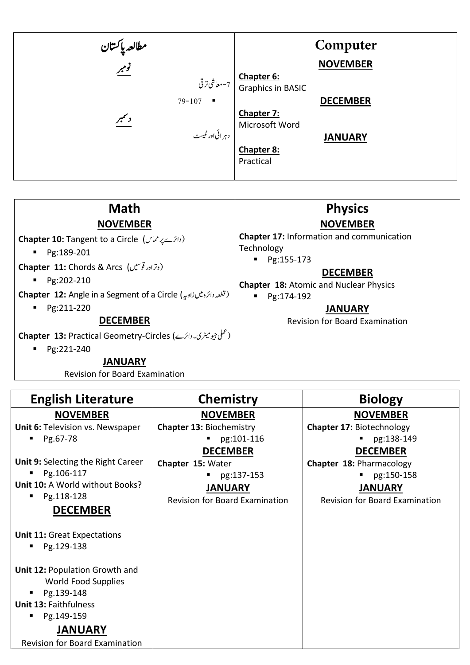| Computer                                                 |
|----------------------------------------------------------|
| <b>NOVEMBER</b>                                          |
| Chapter 6:<br>  7-معاشى ترقى<br><b>Graphics in BASIC</b> |
| <b>DECEMBER</b>                                          |
| Chapter 7:<br>Microsoft Word                             |
| <b>JANUARY</b>                                           |
| Chapter 8:                                               |
| Practical                                                |
|                                                          |

| <b>Math</b>                                                                                                                                                                                                                    | <b>Physics</b>                                                                                                                                                      |
|--------------------------------------------------------------------------------------------------------------------------------------------------------------------------------------------------------------------------------|---------------------------------------------------------------------------------------------------------------------------------------------------------------------|
| <b>NOVEMBER</b>                                                                                                                                                                                                                | <b>NOVEMBER</b>                                                                                                                                                     |
| Chapter 10: Tangent to a Circle (دائرے پر مماس)<br>Pg:189-201<br>$\mathbf{r}$<br><b>Chapter 11:</b> Chords & Arcs (دترادر توسیں)<br>Pg:202-210<br>Chapter 12: Angle in a Segment of a Circle (تَطْعِدِ دَائِرُه مِيْس زاوِيهِ) | <b>Chapter 17: Information and communication</b><br>Technology<br>Pg:155-173<br><b>DECEMBER</b><br><b>Chapter 18: Atomic and Nuclear Physics</b><br>Pg:174-192<br>٠ |
| Pg:211-220<br>$\mathbf{u}$<br><b>DECEMBER</b>                                                                                                                                                                                  | <b>JANUARY</b><br><b>Revision for Board Examination</b>                                                                                                             |
| Chapter 13: Practical Geometry-Circles (حملي جيوميٹری۔دائرے)<br>Pg:221-240<br>$\blacksquare$                                                                                                                                   |                                                                                                                                                                     |
| <b>JANUARY</b><br><b>Revision for Board Examination</b>                                                                                                                                                                        |                                                                                                                                                                     |

| <b>English Literature</b>                                                                           | <b>Chemistry</b>                      | <b>Biology</b>                        |
|-----------------------------------------------------------------------------------------------------|---------------------------------------|---------------------------------------|
| <b>NOVEMBER</b>                                                                                     | <b>NOVEMBER</b>                       | <b>NOVEMBER</b>                       |
| Unit 6: Television vs. Newspaper                                                                    | <b>Chapter 13: Biochemistry</b>       | <b>Chapter 17: Biotechnology</b>      |
| Pg.67-78<br>٠                                                                                       | $\n  -$ pg:101-116                    | pg:138-149                            |
|                                                                                                     | <b>DECEMBER</b>                       | <b>DECEMBER</b>                       |
| Unit 9: Selecting the Right Career                                                                  | Chapter 15: Water                     | Chapter 18: Pharmacology              |
| Pg.106-117                                                                                          | pg:137-153                            | pg:150-158                            |
| Unit 10: A World without Books?                                                                     | <b>JANUARY</b>                        | <b>JANUARY</b>                        |
| Pg.118-128<br>п                                                                                     | <b>Revision for Board Examination</b> | <b>Revision for Board Examination</b> |
| <b>DECEMBER</b>                                                                                     |                                       |                                       |
| <b>Unit 11: Great Expectations</b><br>Pg.129-138                                                    |                                       |                                       |
| Unit 12: Population Growth and<br>World Food Supplies<br>Pg.139-148<br><b>Unit 13: Faithfulness</b> |                                       |                                       |
| Pg.149-159<br>п                                                                                     |                                       |                                       |
| <b>JANUARY</b>                                                                                      |                                       |                                       |
| <b>Revision for Board Examination</b>                                                               |                                       |                                       |